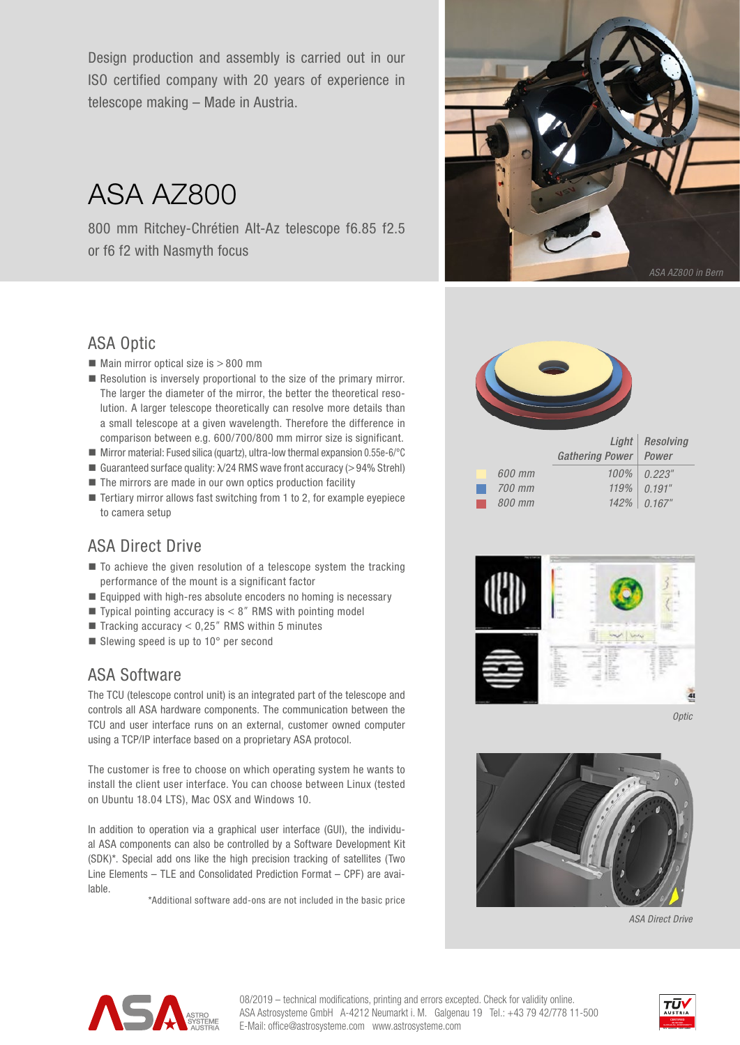Design production and assembly is carried out in our ISO certified company with 20 years of experience in telescope making – Made in Austria.

# ASA AZ800

800 mm Ritchey-Chrétien Alt-Az telescope f6.85 f2.5 or f6 f2 with Nasmyth focus



# ASA Optic

- $\blacksquare$  Main mirror optical size is  $>800$  mm
- $\blacksquare$  Resolution is inversely proportional to the size of the primary mirror. The larger the diameter of the mirror, the better the theoretical resolution. A larger telescope theoretically can resolve more details than a small telescope at a given wavelength. Therefore the difference in comparison between e.g. 600/700/800 mm mirror size is significant.
- **Mirror material: Fused silica (quartz), ultra-low thermal expansion 0.55e-6/°C**
- Guaranteed surface quality:  $\sqrt{24}$  RMS wave front accuracy (>94% Strehl)
- The mirrors are made in our own optics production facility
- $\blacksquare$  Tertiary mirror allows fast switching from 1 to 2, for example eyepiece to camera setup

# ASA Direct Drive

- $\blacksquare$  To achieve the given resolution of a telescope system the tracking performance of the mount is a significant factor
- $\blacksquare$  Equipped with high-res absolute encoders no homing is necessary
- $\blacksquare$  Typical pointing accuracy is  $\lt 8$ " RMS with pointing model
- $\blacksquare$  Tracking accuracy < 0,25" RMS within 5 minutes
- Slewing speed is up to  $10^{\circ}$  per second

# ASA Software

The TCU (telescope control unit) is an integrated part of the telescope and controls all ASA hardware components. The communication between the TCU and user interface runs on an external, customer owned computer using a TCP/IP interface based on a proprietary ASA protocol.

The customer is free to choose on which operating system he wants to install the client user interface. You can choose between Linux (tested on Ubuntu 18.04 LTS), Mac OSX and Windows 10.

In addition to operation via a graphical user interface (GUI), the individual ASA components can also be controlled by a Software Development Kit (SDK)\*. Special add ons like the high precision tracking of satellites (Two Line Elements – TLE and Consolidated Prediction Format – CPF) are available.

\*Additional software add-ons are not included in the basic price





*Optic*



*ASA Direct Drive*